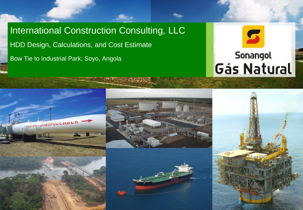International Construction Consulting, LLC HDD Design, Calculations, and Cost Estimate Bow Tie to Industrial Park; Soyo, Angola









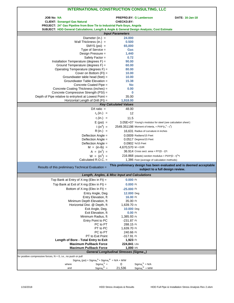| <b>INTERNATIONAL CONSTRUCTION CONSULTING, LLC</b>                                           |                                                    |                                                                    |                                                                     |
|---------------------------------------------------------------------------------------------|----------------------------------------------------|--------------------------------------------------------------------|---------------------------------------------------------------------|
|                                                                                             |                                                    |                                                                    |                                                                     |
| <b>JOB No: NA</b><br><b>CLIENT: Sonangol Gas Natural</b>                                    | <b>PREPRD.BY: G Lamberson</b><br><b>CHECKD.BY:</b> |                                                                    | <b>DATE: 16-Jan-18</b>                                              |
| PROJECT: 24" Gas Pipeline from Bow Tie to Industrial Park-Soyo, Angola                      |                                                    |                                                                    |                                                                     |
| SUBJECT: HDD General Calculations; Length & Angle & General Design Analysis; Cost Estimate  |                                                    |                                                                    |                                                                     |
|                                                                                             | <b>Input Parameters</b>                            |                                                                    |                                                                     |
| Diameter (in.) $=$                                                                          | 24.000                                             |                                                                    |                                                                     |
| Wall Thickness (in.) $=$                                                                    | 0.500                                              |                                                                    |                                                                     |
| $SMYS$ (psi) =                                                                              | 65,000                                             |                                                                    |                                                                     |
| Type of Service $=$                                                                         | Gas                                                |                                                                    |                                                                     |
| Design Pressure =                                                                           | 1,440                                              |                                                                    |                                                                     |
| Safety Factor =<br>Installation Temperature (degrees F) =                                   | 0.72<br>90.00                                      |                                                                    |                                                                     |
| Ground Temperature (degrees F) =                                                            | 60.00                                              |                                                                    |                                                                     |
| Operating Temperature (degrees F) =                                                         | 80.00                                              |                                                                    |                                                                     |
| Cover on Bottom $(Ft)$ =                                                                    | 10.00                                              |                                                                    |                                                                     |
| Groundwater table head (feet) =                                                             | 10.00                                              |                                                                    |                                                                     |
| Groundwater Table Elevation =                                                               | 15.38                                              |                                                                    |                                                                     |
| Concrete Coated Pipe =                                                                      | <b>No</b>                                          |                                                                    |                                                                     |
| Concrete Coating Thickness (inches) =                                                       | 0.00                                               |                                                                    |                                                                     |
| Concrete Compressive Strength (PSI) =                                                       | $\bf{0}$                                           |                                                                    |                                                                     |
| Depth of Pipe relative to entry/exit at Lowest Point =<br>Horizontal Length of Drill (Ft) = | 35.00<br>1,918.00                                  |                                                                    |                                                                     |
|                                                                                             | <b>Key Calculated Values</b>                       |                                                                    |                                                                     |
| D/t ratio $=$                                                                               | 48.00                                              |                                                                    |                                                                     |
| $r_o (in.) =$                                                                               | 12                                                 |                                                                    |                                                                     |
| $r_i (in.) =$                                                                               | 11.5                                               |                                                                    |                                                                     |
| $E$ (psi) =                                                                                 |                                                    | 3.05E+07 Young's modulus for steel (see calculation sheet)         |                                                                     |
| $1 (in4) =$                                                                                 |                                                    | 2549.351198 Moment of interia, = $PI/4^{*}(r_{0}^{4} - r_{i}^{4})$ |                                                                     |
| $R(in.) =$                                                                                  |                                                    | 16,631 Radius of curvature in inches                               |                                                                     |
| Deflection Angle =                                                                          |                                                    | 0.0009 Radians/15 Feet                                             |                                                                     |
| Deflection Angle =                                                                          |                                                    | 0.0517 Degress/15 Feet                                             |                                                                     |
| Deflection Angle =                                                                          |                                                    | 0.0902 %/15 Feet                                                   |                                                                     |
| $M = (in-lb) =$                                                                             | $4,670,570$ M = EI/R                               |                                                                    |                                                                     |
| $A = (in^2) =$                                                                              |                                                    | $36.914$ Cross sect. area = PI*(D - t)*t                           |                                                                     |
| $W = (in^3) =$<br>Calculated $R.O.C. =$                                                     |                                                    | 216.868 (elastic) section modulus = $PI/4*(D - t)^{2*}t$           |                                                                     |
|                                                                                             |                                                    | 1,386 Feet (average of calculation methods)                        |                                                                     |
| Results of this preliminary Technical Evaluation =                                          |                                                    | subject to a full design review.                                   | This preliminary design has been evaluated and is deemed acceptable |
|                                                                                             |                                                    |                                                                    |                                                                     |
| Length, Angles, & Misc Input and Calculations                                               |                                                    |                                                                    |                                                                     |
| Top Bank at Entry of X-ing (Elev in Ft) =                                                   | $0.000$ Ft                                         |                                                                    |                                                                     |
| Top Bank at Exit of X-ing (Elev in Ft) =                                                    | $0.000$ Ft                                         |                                                                    |                                                                     |
| Bottom of X-ing (Elev in $Ft$ ) =                                                           | $-25.000$ Ft                                       |                                                                    |                                                                     |
| Entry Angle, Deg<br>Entry Elevation, ft                                                     | 12.000 Deg                                         |                                                                    |                                                                     |
| Minimum Depth Elevation, ft                                                                 | 16.00 $Ft$<br>35.00 Ft                             |                                                                    |                                                                     |
| Horizontal Dist. @ Depth, ft                                                                | 1,639.70 Ft                                        |                                                                    |                                                                     |
| Exit Angle, Deg.                                                                            | 10.000 Deg                                         |                                                                    |                                                                     |
| Exit Elevation, ft                                                                          | $0.00$ Ft                                          |                                                                    |                                                                     |
| Minimum Radius, ft                                                                          | 1,385.93 Ft                                        |                                                                    |                                                                     |
| Entry Point to PC                                                                           | -231.87 Ft                                         |                                                                    |                                                                     |
| PC to PT                                                                                    | 288.15 Ft                                          |                                                                    |                                                                     |
| PT to PC                                                                                    | 1,639.70 Ft                                        |                                                                    |                                                                     |
| PC to PT<br>PT to Exit Point                                                                | 240.66 Ft<br>-317.91 Ft                            |                                                                    |                                                                     |
| Length of Bore - Total Entry to Exit                                                        | 1,923 Ft                                           |                                                                    |                                                                     |
| <b>Maximum Pullback Force</b>                                                               | 224,841 Lbs                                        |                                                                    |                                                                     |
| <b>Maximum Pullback Force</b>                                                               | 1,000 KN                                           |                                                                    |                                                                     |
| General Longitudinal Stresses (Sigma x)                                                     |                                                    |                                                                    |                                                                     |
| for positive compressive forces, $N = 0$ , i.e., no push or pull                            |                                                    |                                                                    |                                                                     |
| $Sigma_x (psi) = Sigma_x^N + Sigma_x^M = N/A + M/W$<br>$Sigma_{x}^{N}$ =<br>where           | 0                                                  | $Sigma_{x}^{N} = N/A$                                              |                                                                     |
| $Sigma_{x}^{M}$ =<br>and                                                                    | 21,536                                             | $Sigma_{x}^{M} = M/W$                                              |                                                                     |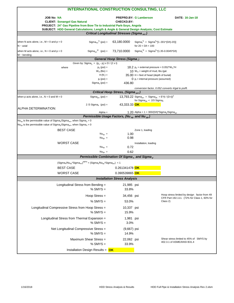| <b>INTERNATIONAL CONSTRUCTION CONSULTING, LLC</b>                                                                   |                   |                                                                     |                                                                                                               |                                                         |
|---------------------------------------------------------------------------------------------------------------------|-------------------|---------------------------------------------------------------------|---------------------------------------------------------------------------------------------------------------|---------------------------------------------------------|
| <b>JOB No: NA</b><br><b>CLIENT: Sonangol Gas Natural</b>                                                            |                   | <b>CHECKD.BY:</b>                                                   | <b>PREPRD.BY: G Lamberson</b>                                                                                 | <b>DATE: 16-Jan-18</b>                                  |
| PROJECT: 24" Gas Pipeline from Bow Tie to Industrial Park-Soyo, Angola                                              |                   |                                                                     |                                                                                                               |                                                         |
| SUBJECT: HDD General Calculations; Length & Angle & General Design Analysis; Cost Estimate                          |                   | Critical Longitudinal Stresses (Sigma xcr)                          |                                                                                                               |                                                         |
|                                                                                                                     |                   |                                                                     |                                                                                                               |                                                         |
| $Sigma_{\text{scr}}^N$ (psi) =<br>when N acts alone, i.e., $M = 0$ and $p = 0$<br>$N \sim$ axial                    |                   | 63,180.0000                                                         | Sigma <sub>x</sub> <sup>N</sup> = Sigma <sup>F*</sup> [1-.001 <sup>*</sup> (D/t)-20)]<br>for $20 < D/t < 100$ |                                                         |
| $Sigma_{\text{scr}}^M$ (psi) =<br>when M acts alone, i.e., $N = 0$ and $p = 0$<br>$M \sim$ bending                  |                   | 73,710.0000                                                         | $Sigma_{x}^{M} =$ Sigma <sup>F*</sup> (1.35-0.0045 <sup>*</sup> D/t)                                          |                                                         |
|                                                                                                                     |                   | General Hoop Stress (Sigma <sub>v</sub> )                           |                                                                                                               |                                                         |
| Given by: Sigma <sub>y</sub> = $(p_e - p_i) \times D / (2 \times t)$                                                |                   |                                                                     |                                                                                                               |                                                         |
| where                                                                                                               | $p_e$ (psi) =     |                                                                     | 18.2 $p_e$ = external pressure = 0.052*W <sub>m</sub> *H                                                      |                                                         |
|                                                                                                                     | $W_m$ (lbs) =     |                                                                     | 10 $W_m$ = weight of mud, lbs./gal.                                                                           |                                                         |
|                                                                                                                     | $H (ft.) =$       |                                                                     | $35.00$ H = feet of head (depth of burial)                                                                    |                                                         |
|                                                                                                                     | $p_i$ (psi) =     |                                                                     | $Q_{i}$ = internal pressure (assumed)                                                                         |                                                         |
|                                                                                                                     | $Sigma_v$ (psi) = | 436.80                                                              |                                                                                                               |                                                         |
|                                                                                                                     |                   |                                                                     |                                                                                                               | conversion factor, 0.052 converts #/gal to psi/ft.      |
|                                                                                                                     |                   | Critical Hoop Stress, (Sigma <sub>vcr</sub> )                       |                                                                                                               |                                                         |
| when p acts alone, i.e., $N = 0$ and $M = 0$<br>$Sigmaver$ (psi) =                                                  |                   |                                                                     | 13,793.22 Sigma <sub>ycr</sub> = Sigma <sub>yE</sub> = E <sup>*</sup> (t / (D-t)) <sup>2</sup>                |                                                         |
|                                                                                                                     |                   |                                                                     | for Sigma <sub>vE</sub> < $2/3$ Sigma <sub>F</sub>                                                            |                                                         |
| $2/3$ Sigma <sub>F</sub> (psi) =<br>ALPHA DETERMINATION:                                                            |                   | 43,333.33 OK                                                        |                                                                                                               |                                                         |
|                                                                                                                     | $Alpha =$         |                                                                     | 1.20 Alpha = $1 + 300/(D/t)^*$ Sigma <sub>v</sub> /Sigma <sub>vcr</sub>                                       |                                                         |
|                                                                                                                     |                   | Permissible Usage Factors, (Nu <sub>xp</sub> and Nu <sub>vp</sub> ) |                                                                                                               |                                                         |
| Nu <sub>xo</sub> is the permissible value of Sigma <sub>x</sub> /Sigma <sub>xcr</sub> , when Sigma <sub>y</sub> = 0 |                   |                                                                     |                                                                                                               |                                                         |
| Nu <sub>vp</sub> is the permissible value of Sigma $\sqrt{$ Sigma <sub>vcr</sub> , when Sigma <sub>x</sub> = 0      |                   |                                                                     |                                                                                                               |                                                         |
| <b>BEST CASE</b>                                                                                                    |                   |                                                                     | Zone 1, loading                                                                                               |                                                         |
|                                                                                                                     | $Nu_{xo}$ =       | 1.00                                                                |                                                                                                               |                                                         |
|                                                                                                                     | $Nu_{vp}$ =       | 0.98                                                                |                                                                                                               |                                                         |
| <b>WORST CASE</b>                                                                                                   |                   |                                                                     | Installation, loading                                                                                         |                                                         |
|                                                                                                                     | $Nu_{xo}$ =       | 0.72                                                                |                                                                                                               |                                                         |
|                                                                                                                     | $Nuvo$ =          | 0.62                                                                |                                                                                                               |                                                         |
|                                                                                                                     |                   | Permissible Combination Of Sigma $_{x}$ and Sigma $_{y}$            |                                                                                                               |                                                         |
|                                                                                                                     |                   |                                                                     |                                                                                                               |                                                         |
| $(Sigma_x/Nu_{xp} * Sigma_{xcr})^{alpha} + (Sigma_x/Nu_{yp} * Sigma_{ycr}) < 1$                                     |                   |                                                                     |                                                                                                               |                                                         |
| <b>BEST CASE</b>                                                                                                    |                   | 0.261341478 OK                                                      |                                                                                                               |                                                         |
| <b>WORST CASE</b>                                                                                                   |                   | 0.390539865 <mark>OK</mark>                                         |                                                                                                               |                                                         |
|                                                                                                                     |                   | <b>Installation Stress Analysis</b>                                 |                                                                                                               |                                                         |
|                                                                                                                     |                   |                                                                     |                                                                                                               |                                                         |
| Longitudinal Stress from Bending =<br>% SMYS $=$                                                                    |                   | 21,985 psi<br>33.8%                                                 |                                                                                                               |                                                         |
| Hoop Stress =                                                                                                       |                   | 34,456 psi                                                          |                                                                                                               | Hoop stress limited by design factor from 49            |
| $%$ SMYS =                                                                                                          |                   | 53.0%                                                               |                                                                                                               | CFR Part 192.111. (72% for Class 1, 60% for<br>Class 2) |
|                                                                                                                     |                   |                                                                     |                                                                                                               |                                                         |
| Longitudinal Compressive Stress from Hoop Stress =                                                                  |                   | 10,337 psi                                                          |                                                                                                               |                                                         |
| $%$ SMYS =                                                                                                          |                   | 15.9%                                                               |                                                                                                               |                                                         |
| Longitudinal Stress from Thermal Expansion =                                                                        |                   | 1,981 psi                                                           |                                                                                                               |                                                         |
| $%$ SMYS $=$                                                                                                        |                   | 3.0%                                                                |                                                                                                               |                                                         |
|                                                                                                                     |                   |                                                                     |                                                                                                               |                                                         |
| Net Longitudinal Compressive Stress =<br>$%$ SMYS =                                                                 |                   | $(9,667)$ psi<br>14.9%                                              |                                                                                                               |                                                         |
| Maximum Shear Stress =                                                                                              |                   | 22,062 psi                                                          |                                                                                                               | Shear stress limited to 45% of SMYS by                  |
| $%$ SMYS =                                                                                                          |                   | 33.9%                                                               |                                                                                                               | 402.3.1 of ASME/ANSI B31.4                              |
| Installation Design Results = $OK$                                                                                  |                   |                                                                     |                                                                                                               |                                                         |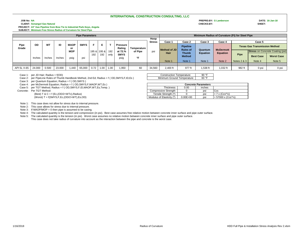### **JOB No: NA PREPRD.BY: G Lamberson DATE: 16-Jan-18 CLIENT: Sonangol Gas Natural CHECKD.BY: SHEET: PROJECT: 24" Gas Pipeline from Bow Tie to Industrial Park-Soyo, Angola SUBJECT: Minimum Free Stress Radius of Curvature for Steel Pipe**

|               | <b>Pipe Parameters</b> |           |        |                   |             |             |      |              | Minimum Radius of Curvature (Ft) for Steel Pipe |               |               |              |                                    |         |                  |             |                                      |        |                                         |
|---------------|------------------------|-----------|--------|-------------------|-------------|-------------|------|--------------|-------------------------------------------------|---------------|---------------|--------------|------------------------------------|---------|------------------|-------------|--------------------------------------|--------|-----------------------------------------|
|               |                        |           |        |                   |             |             |      |              |                                                 |               | Hoop          |              |                                    |         |                  |             |                                      |        |                                         |
|               |                        |           |        |                   |             |             |      |              |                                                 |               | <b>Stress</b> | Case 1       | Case 2                             | Case 3  | Case 4           |             | Case 5                               |        |                                         |
| Pipe<br>Grade | OD                     | <b>WT</b> | ID     | <b>MAOP</b><br>or | <b>SMYS</b> |             |      | $\mathbf{r}$ | Pressure<br>Rating                              | Temperature   |               | Method of JD | <b>Pipeline</b><br><b>Rules of</b> | Quantum | <b>McDermott</b> |             | <b>Texas Gas Transmission Method</b> |        |                                         |
|               |                        |           |        | <b>MOP</b>        |             | 195 & 195 & |      | 192          | at 72.%                                         | of Pipe<br>∘⊏ |               | psi          | Hair                               | Thumb   | <b>Equation</b>  | Equation    |                                      |        | <b>Stress on Concrete Coating (psi)</b> |
|               | <b>Inches</b>          | Inches    | Inches | psig              | psi         | 192         | 192  | only         | <b>SMYS</b><br>psig                             |               |               |              |                                    |         | <b>Method</b>    |             |                                      | Pipe   | <b>Best Case</b>                        |
|               |                        |           |        |                   |             |             |      |              |                                                 |               |               | Note 1       | Note 1                             | Note 1  | Note 2           | Notes 2 & 3 | Note 4                               | Note 5 |                                         |
|               |                        |           |        |                   |             |             |      |              |                                                 |               |               |              |                                    |         |                  |             |                                      |        |                                         |
| API 5L X-65   | 24.000                 | 0.500     | 23.000 | .440              | 65.000      | 0.72        | 1.00 | 1.00         | 1,950                                           | 60            | 34,560        | 2,400 ft     | 977 ft                             | .538 ft | .032 ft          | 982 ft      | 0 psi                                | 0 psi  |                                         |

Case 1: per JD Hair; Radius = f(OD)<br>Case 2: per PipeLine Rules of Thumb Handbook Method, 2nd Ed; Radius = f (OD, SMYS, F, ID, Es) Minimum C Case 2: per PipeLine Rules of Thumb Handbook Method, 2nd Ed; Radius = f (OD,SMYS,F,ID,Es)

Case 3: per Quantum Equation; Radius = f ( OD,SMYS )

Case 4: per McDermott Equation; Radius = f ( OD,SMYS,F,MAOP,WT,Es )

Case 5: per TGT Method; Radius = f ( OD, SMYS, F, ID, MAOP, WT, Es, Temp. ) Thick

Concrete: Per TGT Method: Cost Compressive Strength | 0 | psi Ccs

(Best) T & C = f (Ec,(OD/2+WTc),Radius)  $\overline{C}$  Tensile Strength (\*) 0 psi = 7 x (Ccs<sup>n</sup>/<sub>2</sub>)<br>(Worst) T = f(SMYS,F,Ec,(OD/2+WT),Es,OD)  $\overline{C}$  Modulus of Elasticity (\*) 0.00E+00 psi = 57000 x (Cc (Worst) T = f(SMYS,F,Ec,(OD/2+WT),Es,OD) Modulus of Elasticity (\*) 0.00E+00 psi = 57000 x (Ccs^/<sub>2</sub>)

Note 1: This case does not allow for stress due to internal pressure.

Note 2: This case allows for stress due to internal pressure.

Note 3: If MAOP/MOP = 0 then pipe is assumed to be casing.

Note 4: The calculated quantity is the tension and compression (in psi). Best case assumes free relative motion between concrete inner surface and pipe outer surface.

Note 5: The calculated quantity is the tension (in psi). Worst case assumes no relative motion between concrete inner surface and pipe outer surface. This case does not take radius of curvature into account as the interaction between the pipe and concrete is the worst case.

|                    | ction Temperature          | 90 °F  |  |  |  |  |  |  |  |
|--------------------|----------------------------|--------|--|--|--|--|--|--|--|
| Ground Temperature |                            | 60 °F  |  |  |  |  |  |  |  |
|                    |                            |        |  |  |  |  |  |  |  |
|                    | <b>Concrete Parameters</b> |        |  |  |  |  |  |  |  |
| ness               |                            | inches |  |  |  |  |  |  |  |

| 1/16/2018 |  |
|-----------|--|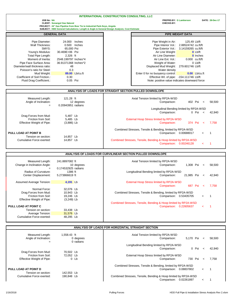**JOB No: NA PREPRD.BY: G Lamberson DATE: 28-Dec-17**

|                                | <b>CLIENT: Sonangol Gas Natural</b> |                                                                        |                                                                                            | CHECKD.BY:                              |                  |                  |  |  |  |  |
|--------------------------------|-------------------------------------|------------------------------------------------------------------------|--------------------------------------------------------------------------------------------|-----------------------------------------|------------------|------------------|--|--|--|--|
|                                |                                     | PROJECT: 24" Gas Pipeline from Bow Tie to Industrial Park-Soyo, Angola |                                                                                            |                                         |                  |                  |  |  |  |  |
|                                |                                     |                                                                        | SUBJECT: HDD General Calculations; Length & Angle & General Design Analysis; Cost Estimate |                                         |                  |                  |  |  |  |  |
| <b>GENERAL DATA</b>            |                                     |                                                                        |                                                                                            | <b>PIPE WEIGHT DATA</b>                 |                  |                  |  |  |  |  |
| Pipe Diameter:                 | 24.000                              | Inches                                                                 |                                                                                            | Pipe Weight in Air:                     | 125.49 Lb/ft     |                  |  |  |  |  |
| Wall Thickness:                | 0.500 Inches                        |                                                                        |                                                                                            | Pipe Interior Vol.: 2.88524742 cu.ft/ft |                  |                  |  |  |  |  |
| SMYS:                          | 65,000 Psi                          |                                                                        |                                                                                            | Pipe Exterior Vol.: 3.14159265 cu.ft/ft |                  |                  |  |  |  |  |
| Young's Modulus:               | 30.469E+06 Psi                      |                                                                        |                                                                                            | Air Line Weight:                        |                  | O Lb/ft          |  |  |  |  |
| Total Pipe Length:             | 2.326 ft                            |                                                                        |                                                                                            | Air Line Diameter:                      |                  | <b>0</b> Inches  |  |  |  |  |
| Moment of Inertia:             | 2548.199797 Inches^4                |                                                                        |                                                                                            | Air Line Ext. Vol.:                     |                  | $0.000$ cu.ft/ft |  |  |  |  |
| Pipe Face Surface Area:        | 36.91371368 Inches <sup>12</sup>    |                                                                        |                                                                                            | Weight of Water:                        |                  | 0 Lb/ft          |  |  |  |  |
| Diameter/wall thickness ratio: | 48                                  |                                                                        |                                                                                            | Displaced Mud Weight:                   | 279.601746 Lb/ft |                  |  |  |  |  |
| Poisson's ratio for Steel:     | 0.3                                 |                                                                        |                                                                                            | Water density                           |                  |                  |  |  |  |  |
| Mud Weight:                    |                                     | 89.00 Lb/cu.ft                                                         |                                                                                            | Enter 0 for no buoyancy control:        |                  | $0.00$ Lb/cu.ft  |  |  |  |  |
|                                |                                     |                                                                        |                                                                                            |                                         |                  |                  |  |  |  |  |

Coefficient of Soil Friction.: 0.30 0.30 effective Wt. of pipe: -154.111746 Lb/ft<br>Fluid Drag Coefficient.: 0.05 Psi Note: positive value indicates downward for Fluid Drag Coefficient.: 0.05 Psi Note: positive value indicates downward force

| ANALYSIS OF LOADS FOR STRAIGHT SECTION PULLED DOWNSLOPE |                         |                                                                |         |         |                          |        |  |  |  |
|---------------------------------------------------------|-------------------------|----------------------------------------------------------------|---------|---------|--------------------------|--------|--|--|--|
| Measured Length:<br>Angle of Inclination:               | 121.28 ft<br>12 degrees | Axial Tension limited by RP2A-WSD<br>Comparison:               | 402 Psi |         | $\overline{a}$           | 58,500 |  |  |  |
| $=$                                                     | 0.20943951 radians      |                                                                |         |         |                          |        |  |  |  |
|                                                         |                         | Longitudinal Bending limited by RP2A-WSD                       |         |         |                          |        |  |  |  |
|                                                         |                         | Comparison:                                                    |         | 0 Psi   | $\prec$                  | 42,940 |  |  |  |
| Drag Forces from Mud:                                   | 5.487 Lb                |                                                                |         |         |                          |        |  |  |  |
| Friction from Soil:                                     | 5.485 Lb                | External Hoop Stress limited by RP2A-WSD                       |         |         |                          |        |  |  |  |
| <b>Effective Weight of Pipe:</b>                        | $(3,886)$ Lb            | Comparison:                                                    |         | 374 Psi | $\overline{\phantom{a}}$ | 7.758  |  |  |  |
|                                                         |                         | Combined Stresses, Tensile & Bending, limited by RP2A-WSD      |         |         |                          |        |  |  |  |
| PULL LOAD AT POINT B                                    |                         | Comparison:<br>0.00688017                                      |         |         | $\prec$                  |        |  |  |  |
| Tension on section:                                     | 14.857 Lb               |                                                                |         |         |                          |        |  |  |  |
| Cumulative Force exerted:                               | 14,857 Lb               | Combined Stresses, Tensile, Bending & Hoop limited by RP2A-WSD |         |         |                          |        |  |  |  |
|                                                         |                         | Comparison: 0.00246128                                         |         |         | ←                        |        |  |  |  |

|                                  |                     | ANALYSIS OF LOADS FOR CURVILINEAR SECTION PULLED DOWNSLOPE     |
|----------------------------------|---------------------|----------------------------------------------------------------|
| Measured Length:                 | 241.8897082 ft      | Axial Tension limited by RP2A-WSD                              |
| Change in Inclination Angle:     | 10 degrees          | 1,308 Psi<br>Comparison:<br>58,500<br>$\prec$                  |
| $=$                              | 0.174532925 radians |                                                                |
| Radius of Curvature:             | 1386 ft             | Longitudinal Bending limited by RP2A-WSD                       |
| Center Displacement:             | 5.273866619 ft      | Comparison:<br>21.985 Psi<br>42,940<br>$\prec$                 |
| Assumed Average Tension:         | 4,191 Lb            | External Hoop Stress limited by RP2A-WSD                       |
|                                  |                     | Comparison:<br>7.758<br>687 Psi<br>$\overline{\phantom{a}}$    |
| Normal Force:                    | 32.076 Lb           |                                                                |
| Drag Forces from Mud:            | 10,943 Lb           | Combined Stresses, Tensile & Bending, limited by RP2A-WSD      |
| Friction from Soil:              | 19,246 Lb           | Comparison: 0.53435705<br>$\prec$                              |
| <b>Effective Weight of Pipe:</b> | $(3,249)$ Lb        |                                                                |
|                                  |                     | Combined Stresses, Tensile, Bending & Hoop limited by RP2A-WSD |
| PULL LOAD AT POINT C             |                     | 0.22605637<br>Comparison:<br>$\epsilon$                        |
| Tension on section:              | 33.438 Lb           |                                                                |
| Average Tension:                 | 31,576 Lb           |                                                                |
| Cumulative Force exerted:        | 48.295 Lb           |                                                                |

# **ANALYSIS OF LOADS FOR HORIZONTAL STRAIGHT SECTION**

| Measured Length:<br>Angle of Inclination: | 1.558.43 ft<br>0 degrees<br>0 radians | Axial Tension limited by RP2A-WSD<br>5.170 Psi<br>Comparison:  | $\prec$    | 58,500 |
|-------------------------------------------|---------------------------------------|----------------------------------------------------------------|------------|--------|
|                                           |                                       | Longitudinal Bending limited by RP2A-WSD                       |            |        |
|                                           |                                       | 0 Psi<br>Comparison:                                           | $\epsilon$ | 42.940 |
| Drag Forces from Mud:                     | 70.502 Lb                             |                                                                |            |        |
| Friction from Soil:                       | 72.052 Lb                             | External Hoop Stress limited by RP2A-WSD                       |            |        |
| <b>Effective Weight of Pipe:</b>          | $0$ Lb                                | 730 Psi<br>Comparison:                                         | $\prec$    | 7.758  |
|                                           |                                       | Combined Stresses, Tensile & Bending, limited by RP2A-WSD      |            |        |
| PULL LOAD AT POINT D                      |                                       | Comparison: 0.08837802                                         | $\prec$    |        |
| Tension on section:                       | 142.553 Lb                            |                                                                |            |        |
| Cumulative Force exerted:                 | 190.848 Lb                            | Combined Stresses, Tensile, Bending & Hoop limited by RP2A-WSD |            |        |
|                                           |                                       | Comparison: 0.02261897                                         | <          |        |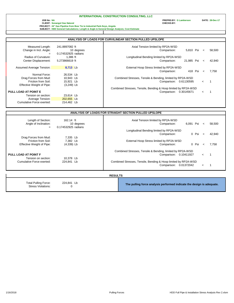JOB No: NA PREPRD.BY: G Lamberson DATE: 28-Dec-17<br>CLIENT: Sonangol Gas Natural prom Bow Tie to Industrial Park-Soyo, Angola Cost Estimate CHECKD.BY: C Lamberson<br>PROJECT: 24" Gas Pipeline from Bow Tie to Industrial Park-Soy

|                                  |                                   | ANALYSIS OF LOADS FOR CURVILINEAR SECTION PULLED UPSLOPE       |                                          |            |                       |        |
|----------------------------------|-----------------------------------|----------------------------------------------------------------|------------------------------------------|------------|-----------------------|--------|
| Measured Length:                 | 241.8897082 ft                    |                                                                | Axial Tension limited by RP2A-WSD        |            |                       |        |
| Change in Incl. Angle:<br>$=$    | 10 degrees<br>0.174532925 radians |                                                                | Comparison:                              | 5,810 Psi  | $\prec$               | 58,500 |
| Radius of Curvature:             | 1.386 ft                          |                                                                | Longitudinal Bending limited by RP2A-WSD |            |                       |        |
| Center Displacement:             | 5.273866619 ft                    |                                                                | Comparison:                              | 21.985 Psi | $\tilde{\phantom{0}}$ | 42.940 |
| Assumed Average Tension:         | 8,713 Lb                          |                                                                | External Hoop Stress limited by RP2A-WSD |            |                       |        |
|                                  |                                   |                                                                | Comparison:                              | 418 Psi    | $\checkmark$          | 7.758  |
| Normal Force:                    | 26,534 Lb                         |                                                                |                                          |            |                       |        |
| Drag Forces from Mud:            | 10.943 Lb                         | Combined Stresses, Tensile & Bending, limited by RP2A-WSD      |                                          |            |                       |        |
| Friction from Soil:              | 15,921 Lb                         |                                                                | Comparison:                              | 0.61130595 | $\,<\,$               |        |
| <b>Effective Weight of Pipe:</b> | $(3,249)$ Lb                      |                                                                |                                          |            |                       |        |
|                                  |                                   | Combined Stresses, Tensile, Bending & Hoop limited by RP2A-WSD |                                          |            |                       |        |
| PULL LOAD AT POINT E             |                                   |                                                                | Comparison:                              | 0.30145671 | $\,<\,$               |        |
| Tension on section:              | 23,614 Lb                         |                                                                |                                          |            |                       |        |
| Average Tension:                 | 202,655 Lb                        |                                                                |                                          |            |                       |        |
| Cumulative Force exerted:        | 214,462 Lb                        |                                                                |                                          |            |                       |        |

| 162.14 ft<br>10 degrees              | Axial Tension limited by RP2A-WSD<br>6,091 Psi<br>Comparison:                            | 58,500<br>$\prec$                                                    |
|--------------------------------------|------------------------------------------------------------------------------------------|----------------------------------------------------------------------|
|                                      | Longitudinal Bending limited by RP2A-WSD<br>0 Psi                                        | 42,940<br>$\prec$                                                    |
| 7,335 Lb<br>7.382 Lb<br>$(4,339)$ Lb | External Hoop Stress limited by RP2A-WSD<br>0 Psi<br>Comparison:                         | 7.758<br>$\prec$                                                     |
|                                      | Combined Stresses, Tensile & Bending, limited by RP2A-WSD<br>Comparison: 0.10411927      | 1<br>$\overline{\phantom{a}}$                                        |
| 224,841 Lb                           | Combined Stresses, Tensile, Bending & Hoop limited by RP2A-WSD<br>Comparison: 0.01372042 | $\prec$                                                              |
|                                      | 0.174532925 radians<br>10,378 Lb                                                         | ANALYSIS OF LOADS FOR STRAIGHT SECTION PULLED UPSLOPE<br>Comparison: |

| <b>RESULT</b> |  |
|---------------|--|
|---------------|--|

| 224,841 Lb<br><b>Total Pulling Force:</b><br><b>Stress Violations:</b> | The pulling force analysis performed indicate the design is adequate. |
|------------------------------------------------------------------------|-----------------------------------------------------------------------|
|------------------------------------------------------------------------|-----------------------------------------------------------------------|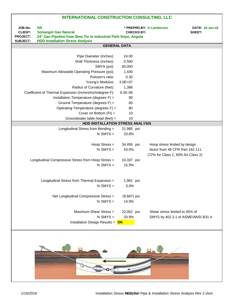| <b>JOB No:</b><br><b>CLIENT:</b><br><b>PROJECT:</b><br><b>SUBJECT:</b> | <b>NA</b><br><b>Sonangol Gas Natural</b><br>24" Gas Pipeline from Bow Tie to Industrial Park-Soyo, Angola<br><b>HDD Installation Stress Analysis</b> | <b>CHECKD.BY:</b> | * PREPRD.BY: G Lamberson           | <b>DATE: 16-Jan-18</b><br>SHEET: |  |  |
|------------------------------------------------------------------------|------------------------------------------------------------------------------------------------------------------------------------------------------|-------------------|------------------------------------|----------------------------------|--|--|
|                                                                        | <b>GENERAL DATA</b>                                                                                                                                  |                   |                                    |                                  |  |  |
|                                                                        |                                                                                                                                                      |                   |                                    |                                  |  |  |
|                                                                        | Pipe Diameter (inches):                                                                                                                              | 24.00             |                                    |                                  |  |  |
|                                                                        | Wall Thickness (inches):                                                                                                                             | 0.500             |                                    |                                  |  |  |
|                                                                        | SMYS (psi):                                                                                                                                          | 65,000            |                                    |                                  |  |  |
|                                                                        | Maximum Allowable Operating Pressure (psi):                                                                                                          | 1,440             |                                    |                                  |  |  |
|                                                                        | Poisson's ratio:                                                                                                                                     | 0.30              |                                    |                                  |  |  |
|                                                                        | Young's Modulus:                                                                                                                                     | $3.0E + 07$       |                                    |                                  |  |  |
|                                                                        | Radius of Curvature (feet):                                                                                                                          | 1,386             |                                    |                                  |  |  |
|                                                                        | Coefficient of Thermal Expansion (inches/inch/degree F):                                                                                             | 6.5E-06           |                                    |                                  |  |  |
|                                                                        | Installation Temperature (degrees F) =                                                                                                               | 90                |                                    |                                  |  |  |
|                                                                        | Ground Temperature (degrees F) =                                                                                                                     | 60                |                                    |                                  |  |  |
|                                                                        | Operating Temperature (degrees F) =                                                                                                                  | 80                |                                    |                                  |  |  |
|                                                                        | Cover on Bottom $(Ft)$ =                                                                                                                             | 10                |                                    |                                  |  |  |
|                                                                        | Groundwater table head (feet) =                                                                                                                      | 10                |                                    |                                  |  |  |
|                                                                        | HDD INSTALLATION STRESS ANALYSIS                                                                                                                     |                   |                                    |                                  |  |  |
|                                                                        | Longitudinal Stress from Bending =                                                                                                                   | 21,985 psi        |                                    |                                  |  |  |
|                                                                        | % SMYS $=$                                                                                                                                           | 33.8%             |                                    |                                  |  |  |
|                                                                        |                                                                                                                                                      |                   |                                    |                                  |  |  |
|                                                                        | Hoop Stress $=$                                                                                                                                      | 34,456 psi        | Hoop stress limited by design      |                                  |  |  |
|                                                                        | $%$ SMYS =                                                                                                                                           | 53.0%             | factor from 49 CFR Part 192.111.   |                                  |  |  |
|                                                                        |                                                                                                                                                      |                   | (72% for Class 1, 60% for Class 2) |                                  |  |  |
|                                                                        | Longitudinal Compressive Stress from Hoop Stress =                                                                                                   | 10,337 psi        |                                    |                                  |  |  |
|                                                                        | $%$ SMYS $=$                                                                                                                                         | 15.9%             |                                    |                                  |  |  |
|                                                                        |                                                                                                                                                      |                   |                                    |                                  |  |  |
|                                                                        |                                                                                                                                                      |                   |                                    |                                  |  |  |
|                                                                        | Longitudinal Stress from Thermal Expansion =                                                                                                         | 1,981 psi         |                                    |                                  |  |  |
|                                                                        | $%$ SMYS =                                                                                                                                           | 3.0%              |                                    |                                  |  |  |
|                                                                        |                                                                                                                                                      |                   |                                    |                                  |  |  |
|                                                                        | Net Longitudinal Compressive Stress =                                                                                                                | $(9,667)$ psi     |                                    |                                  |  |  |
|                                                                        | $%$ SMYS $=$                                                                                                                                         | 14.9%             |                                    |                                  |  |  |
|                                                                        |                                                                                                                                                      |                   |                                    |                                  |  |  |
|                                                                        | Maximum Shear Stress =                                                                                                                               | 22,062 psi        | Shear stress limited to 45% of     |                                  |  |  |
|                                                                        | $%$ SMYS $=$                                                                                                                                         | 33.9%             | SMYS by 402.3.1 of ASME/ANSI B31.4 |                                  |  |  |
|                                                                        | Installation Design Results = $OK$                                                                                                                   |                   |                                    |                                  |  |  |
|                                                                        |                                                                                                                                                      |                   |                                    |                                  |  |  |

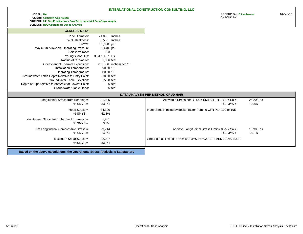### **JOB No: NA** PREPRD.BY: **G Lamberson** 16-Jan-18 **CLIENT: Sonangol Gas Natural PROJECT: 24" Gas Pipeline from Bow Tie to Industrial Park-Soyo, Angola**

**SUBJECT: HDD Operational Stress Analysis**

| <b>GENERAL DATA</b>                                   |                        |                                                                                                                                                                                     |
|-------------------------------------------------------|------------------------|-------------------------------------------------------------------------------------------------------------------------------------------------------------------------------------|
| Pipe Diameter:                                        | 24.000<br>Inches       |                                                                                                                                                                                     |
| Wall Thickness:                                       | 0.500<br>Inches        |                                                                                                                                                                                     |
| SMYS:                                                 | 65,000 psi             |                                                                                                                                                                                     |
| Maximum Allowable Operating Pressure                  | 1,440 psi              |                                                                                                                                                                                     |
| Poisson's ratio:                                      | 0.3                    |                                                                                                                                                                                     |
| Young's Modulus:                                      | 3.047E+07 Psi          |                                                                                                                                                                                     |
| Radius of Curvature:                                  | 1,386 feet             |                                                                                                                                                                                     |
| Coefficient of Thermal Expansion:                     | 6.5E-06 inches/inch/°F |                                                                                                                                                                                     |
| Installation Temperature:                             | 90.00 °F               |                                                                                                                                                                                     |
| <b>Operating Temperature:</b>                         | 80.00 °F               |                                                                                                                                                                                     |
| Groundwater Table Depth Relative to Entry Point:      | $-10.00$ feet          |                                                                                                                                                                                     |
| <b>Groundwater Table Elevation:</b>                   | 15.38 feet             |                                                                                                                                                                                     |
| Depth of Pipe relative to entry/exit at Lowest Point: | $-35$ feet             |                                                                                                                                                                                     |
| Groundwater Table Head:                               | 25 feet                |                                                                                                                                                                                     |
|                                                       |                        |                                                                                                                                                                                     |
|                                                       |                        | DATA ANALYSIS PER METHOD OF JD HAIR                                                                                                                                                 |
| Longitudinal Stress from Bending =                    | 21,985                 |                                                                                                                                                                                     |
| $%$ SMYS =                                            | 33.8%                  |                                                                                                                                                                                     |
|                                                       |                        |                                                                                                                                                                                     |
| Hoop Stress $=$<br>$%$ SMYS =                         | 34,300<br>52.8%        |                                                                                                                                                                                     |
|                                                       |                        |                                                                                                                                                                                     |
| Longitudinal Stress from Thermal Expansion =          | 1,981                  |                                                                                                                                                                                     |
| $%$ SMYS =                                            | 3.0%                   |                                                                                                                                                                                     |
| Net Longitudinal Compressive Stress =                 | $-9,714$               | Allowable Stress per B31.4 = SMYS $x \in x \in x$ T = Sa =<br>Hoop Stress limited by design factor from 49 CFR Part 192 or 195.<br>Additive Longitudinal Stress Limit = 0.75 x Sa = |
| $%$ SMYS =                                            | 14.9%                  |                                                                                                                                                                                     |
| Maximum Shear Stress =                                | 22,007                 | Shear stress limited to 45% of SMYS by 402.3.1 of ASME/ANSI B31.4                                                                                                                   |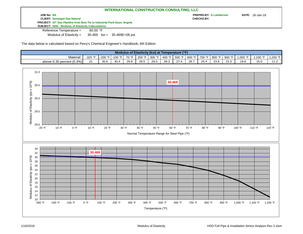**JOB No: NA PREPRD.BY: G Lamberson DATE:** 16-Jan-18 **CLIENT: Sonangol Gas Natural CHECKD.BY: PROJECT: 24" Gas Pipeline from Bow Tie to Industrial Park-Soyo, Angola SUBJECT: HDD - Modulus of Elasticity Calaculations**

Reference Temperature = 60.00 °F

Modulus of Elasticity  $=$ 30.469 ksi = 30.469E+06 psi

The data below is calculated based on Perry's Chemical Engineer's Handbook, 6th Edition

| Modulus of Elasticity (ksi) at Temperature (°F) |            |         |           |       |        |          |        |        |           |        |        |        |         |         |            |
|-------------------------------------------------|------------|---------|-----------|-------|--------|----------|--------|--------|-----------|--------|--------|--------|---------|---------|------------|
| Material:                                       | -325 °F    | -200 °F | -100 °F I | 70 °F | 200 °F | 300 °F I | 400 °F | 500 °F | $-600$ °F | 700 °F | 800 °F | 900 °F | ∴000 °F | .100 °F | $1.200$ °F |
| above $0.30$ percent $(0.3\%)$                  | 24<br>ັບ I | 30.6    | 30.4      | 29.9  | 29.5   | 29.0     | 28.3   |        | 26.       | 25.4   | 23.8   | 21.5   | 18.8    | 15.0    | .          |

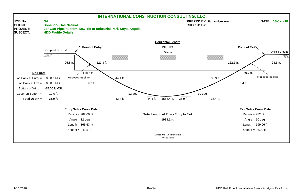